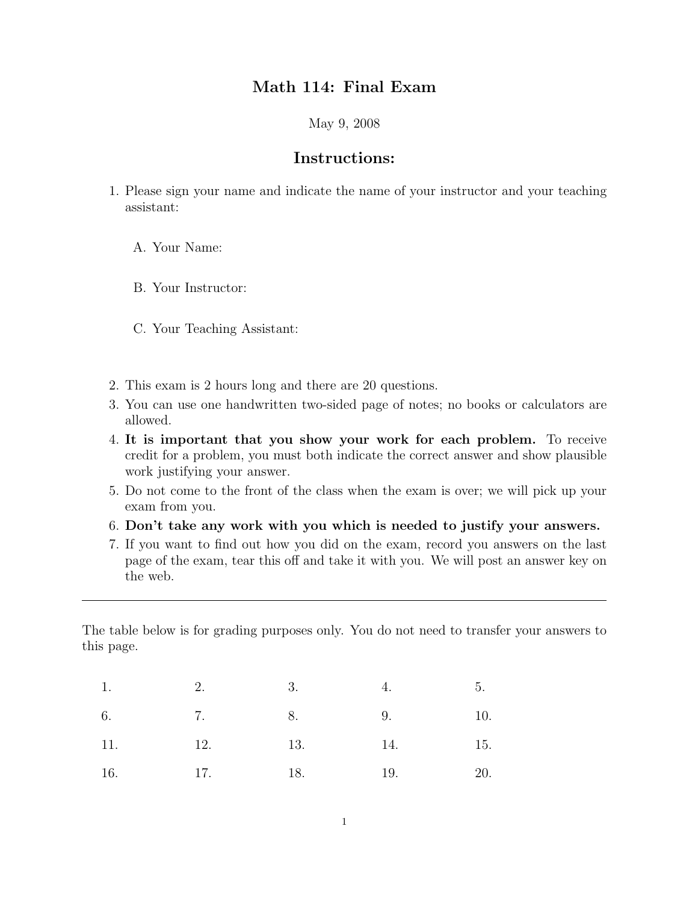## Math 114: Final Exam

May 9, 2008

### Instructions:

- 1. Please sign your name and indicate the name of your instructor and your teaching assistant:
	- A. Your Name:
	- B. Your Instructor:
	- C. Your Teaching Assistant:
- 2. This exam is 2 hours long and there are 20 questions.
- 3. You can use one handwritten two-sided page of notes; no books or calculators are allowed.
- 4. It is important that you show your work for each problem. To receive credit for a problem, you must both indicate the correct answer and show plausible work justifying your answer.
- 5. Do not come to the front of the class when the exam is over; we will pick up your exam from you.
- 6. Don't take any work with you which is needed to justify your answers.
- 7. If you want to find out how you did on the exam, record you answers on the last page of the exam, tear this off and take it with you. We will post an answer key on the web.

The table below is for grading purposes only. You do not need to transfer your answers to this page.

| 1.  | $\overline{3}$ .<br>2. |     | 4.  | 5.  |
|-----|------------------------|-----|-----|-----|
| 6.  | <b>7.</b> 8.           |     | 9.  | 10. |
| 11. | 12.                    | 13. | 14. | 15. |
| 16. | 17.<br>18.             |     | 19. | 20. |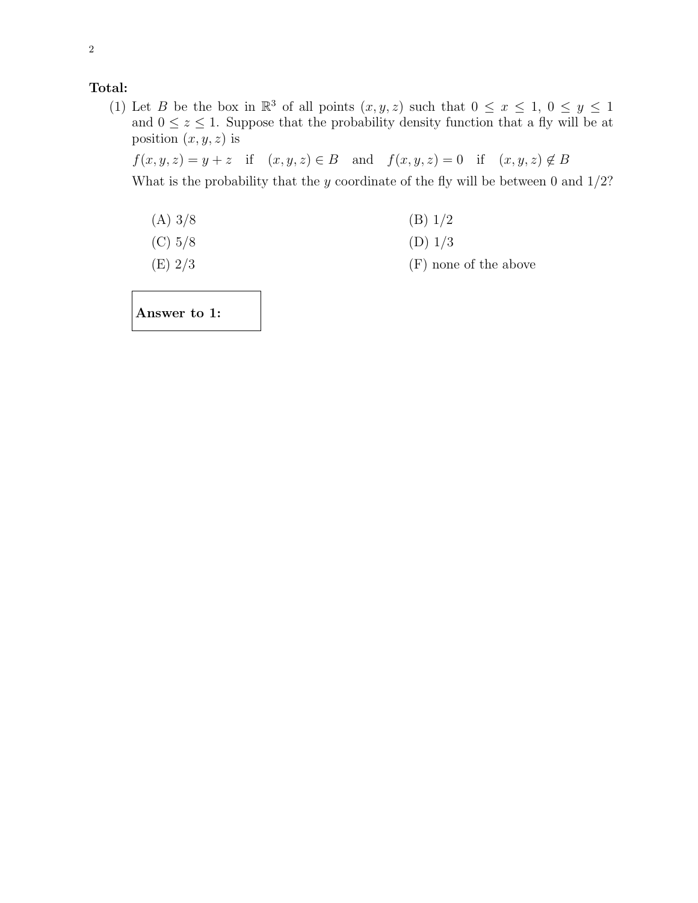#### Total:

(1) Let B be the box in  $\mathbb{R}^3$  of all points  $(x, y, z)$  such that  $0 \le x \le 1$ ,  $0 \le y \le 1$ and  $0 \leq z \leq 1$ . Suppose that the probability density function that a fly will be at position  $(x, y, z)$  is

 $f(x, y, z) = y + z$  if  $(x, y, z) \in B$  and  $f(x, y, z) = 0$  if  $(x, y, z) \notin B$ 

What is the probability that the y coordinate of the fly will be between 0 and  $1/2$ ?

(A) 
$$
3/8
$$
 (B)  $1/2$ 

(C) 
$$
5/8
$$
 (D)  $1/3$ 

(E)  $2/3$  (F) none of the above

Answer to 1: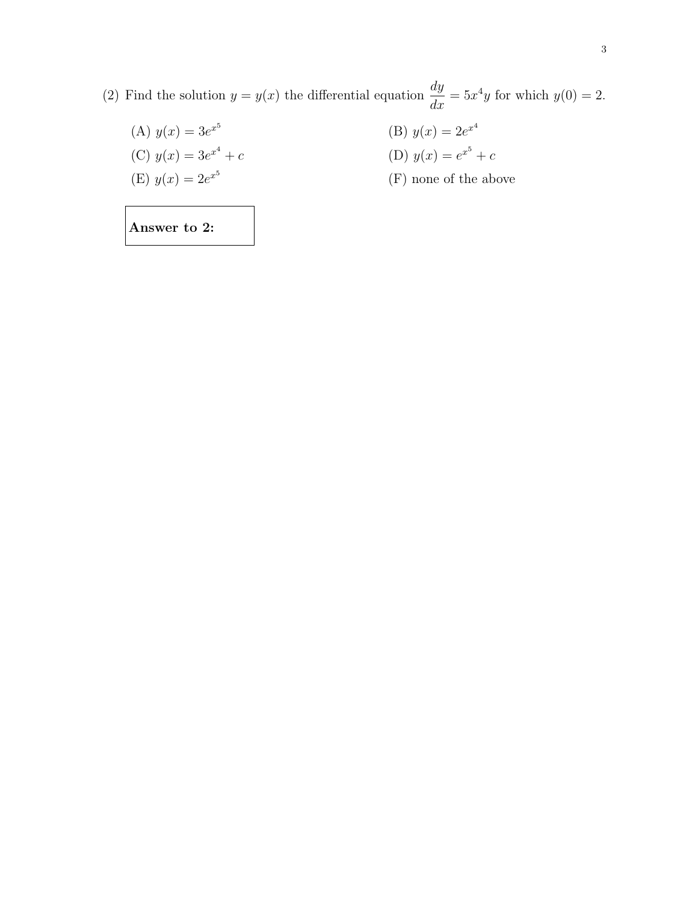- (2) Find the solution  $y = y(x)$  the differential equation  $\frac{dy}{dx} = 5x^4y$  for which  $y(0) = 2$ .
	- (A)  $y(x) = 3e^{x^5}$ (B)  $y(x) = 2e^{x^4}$ (C)  $y(x) = 3e^{x^4} + c$ + c (D)  $y(x) = e^{x^5} + c$ (E)  $y(x) = 2e^{x^5}$ (F) none of the above

Answer to 2: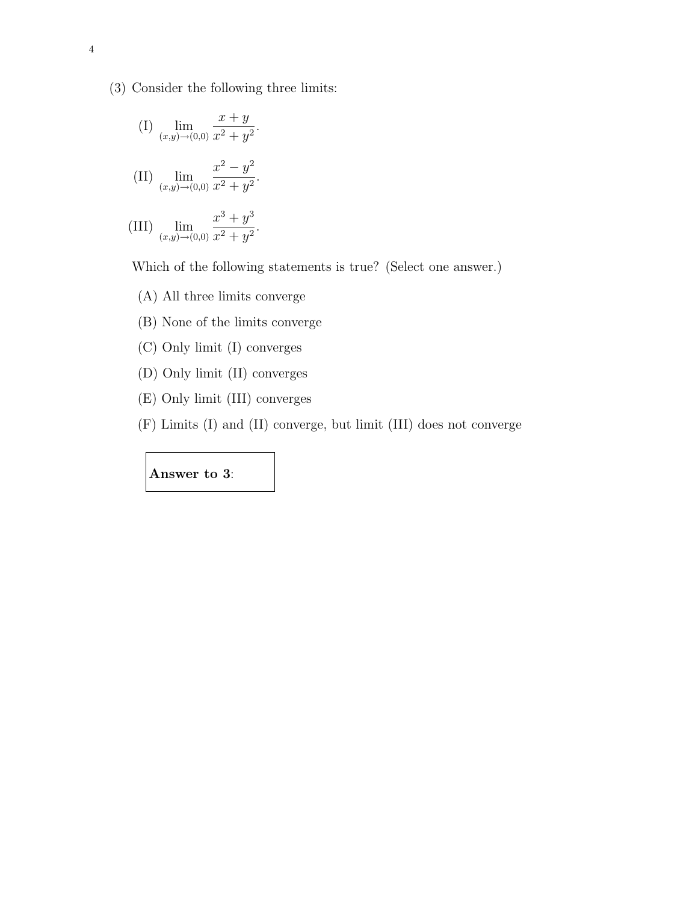(3) Consider the following three limits:

(I) 
$$
\lim_{(x,y)\to(0,0)} \frac{x+y}{x^2+y^2}
$$
.  
\n(II)  $\lim_{(x,y)\to(0,0)} \frac{x^2-y^2}{x^2+y^2}$ .

(III) 
$$
\lim_{(x,y)\to(0,0)}\frac{x^2+y^2}{x^2+y^2}.
$$

Which of the following statements is true? (Select one answer.)

- (A) All three limits converge
- (B) None of the limits converge
- (C) Only limit (I) converges
- (D) Only limit (II) converges
- (E) Only limit (III) converges
- (F) Limits (I) and (II) converge, but limit (III) does not converge

#### Answer to 3: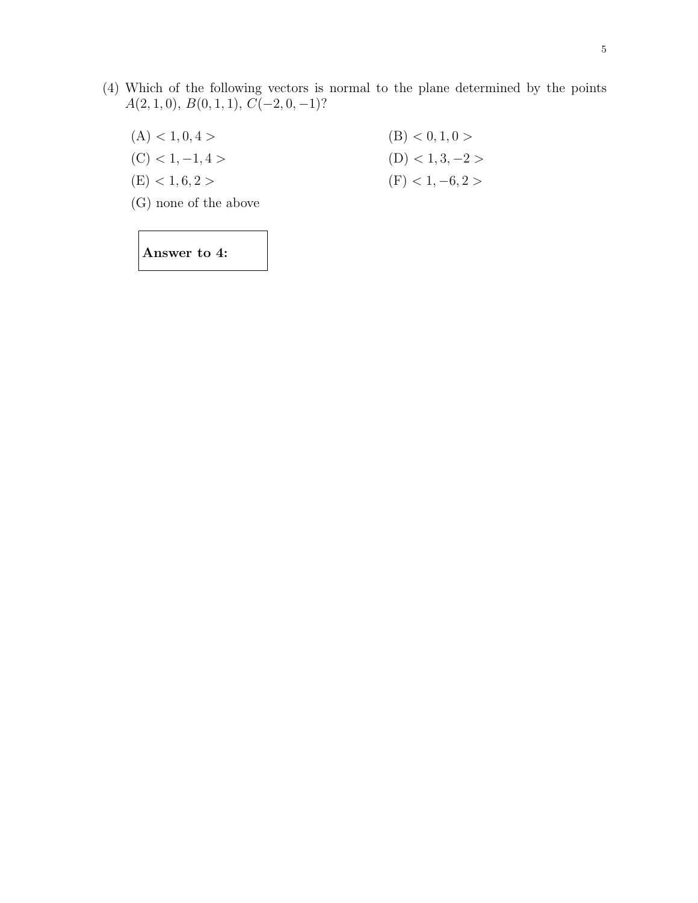- (4) Which of the following vectors is normal to the plane determined by the points  $A(2, 1, 0), B(0, 1, 1), C(-2, 0, -1)$ ?
	- (A)  $< 1, 0, 4 >$  (B)  $< 0, 1, 0 >$ (C) < 1, −1, 4 > (D) < 1, 3, −2 > (E) < 1, 6, 2 > (F) < 1, -6, 2 >
	- (G) none of the above

Answer to 4: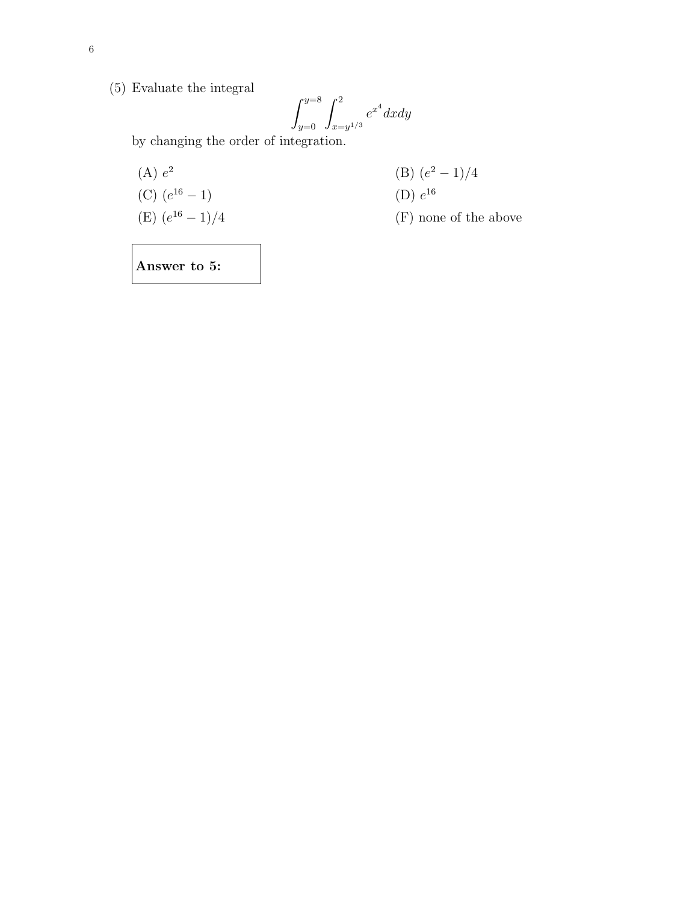(5) Evaluate the integral

$$
\int_{y=0}^{y=8} \int_{x=y^{1/3}}^{2} e^{x^4} dx dy
$$

by changing the order of integration.

(A) 
$$
e^2
$$
 (B)  $(e^2 - 1)/4$   
\n(C)  $(e^{16} - 1)$  (D)  $e^{16}$   
\n(E)  $(e^{16} - 1)/4$  (F) none of the above

Answer to 5: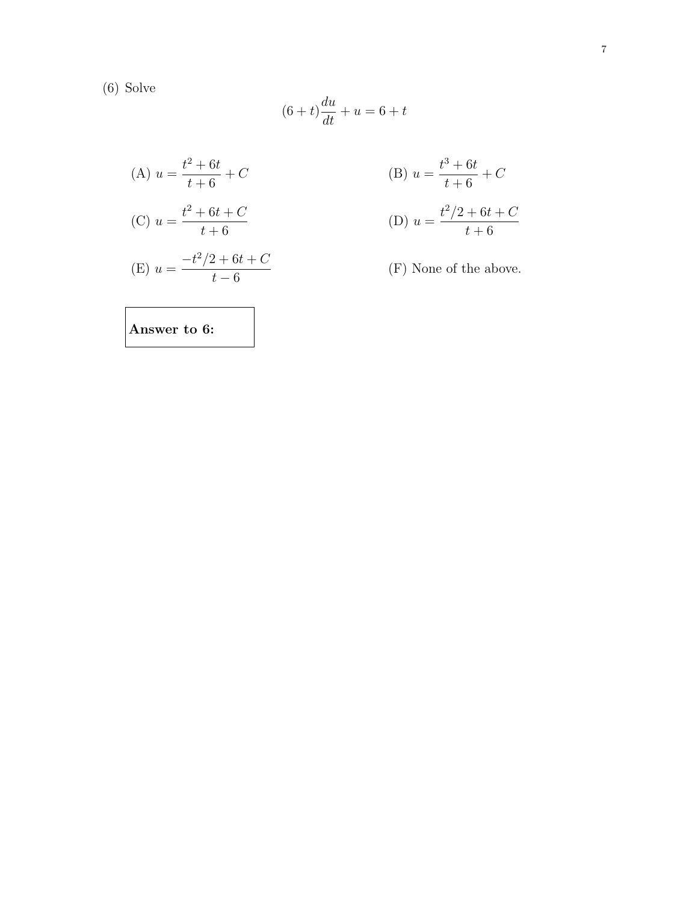(6) Solve

$$
(6+t)\frac{du}{dt} + u = 6+t
$$

(A) 
$$
u = \frac{t^2 + 6t}{t + 6} + C
$$
  
\n(B)  $u = \frac{t^3 + 6t}{t + 6} + C$   
\n(C)  $u = \frac{t^2 + 6t + C}{t + 6}$   
\n(D)  $u = \frac{t^2/2 + 6t + C}{t + 6}$   
\n(E)  $u = \frac{-t^2/2 + 6t + C}{t - 6}$   
\n(F) None of the above.

Answer to 6: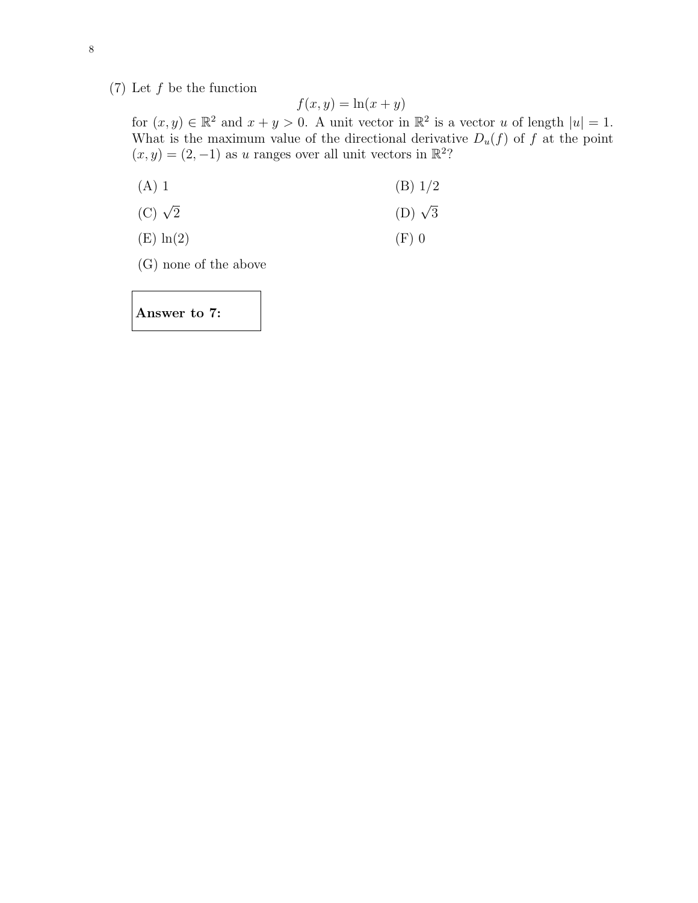(7) Let  $f$  be the function

$$
f(x,y) = \ln(x+y)
$$

for  $(x, y) \in \mathbb{R}^2$  and  $x + y > 0$ . A unit vector in  $\mathbb{R}^2$  is a vector u of length  $|u| = 1$ . What is the maximum value of the directional derivative  $D_u(f)$  of f at the point  $(x, y) = (2, -1)$  as u ranges over all unit vectors in  $\mathbb{R}^2$ ?

(A) 1 (B) 
$$
1/2
$$

- (C)  $\sqrt{2}$  (D)  $\sqrt{3}$
- (E)  $\ln(2)$  (F) 0
- (G) none of the above

Answer to 7: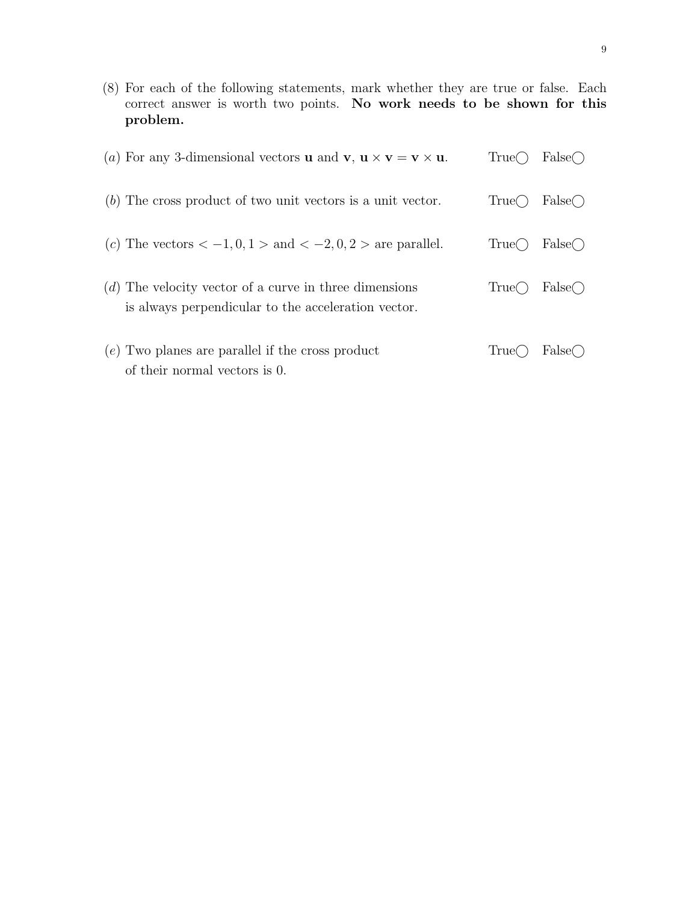(8) For each of the following statements, mark whether they are true or false. Each correct answer is worth two points. No work needs to be shown for this problem.

| (a) For any 3-dimensional vectors <b>u</b> and <b>v</b> , $\mathbf{u} \times \mathbf{v} = \mathbf{v} \times \mathbf{u}$ . | True(  | $False \cap$ |
|---------------------------------------------------------------------------------------------------------------------------|--------|--------------|
| $(b)$ The cross product of two unit vectors is a unit vector.                                                             | True() | $False \cap$ |
| (c) The vectors $<-1,0,1>$ and $<-2,0,2>$ are parallel.                                                                   | True() | $False \cap$ |
| $(d)$ The velocity vector of a curve in three dimensions<br>is always perpendicular to the acceleration vector.           | True() | False()      |
| $(e)$ Two planes are parallel if the cross product<br>of their normal vectors is 0.                                       | '1rue( | False()      |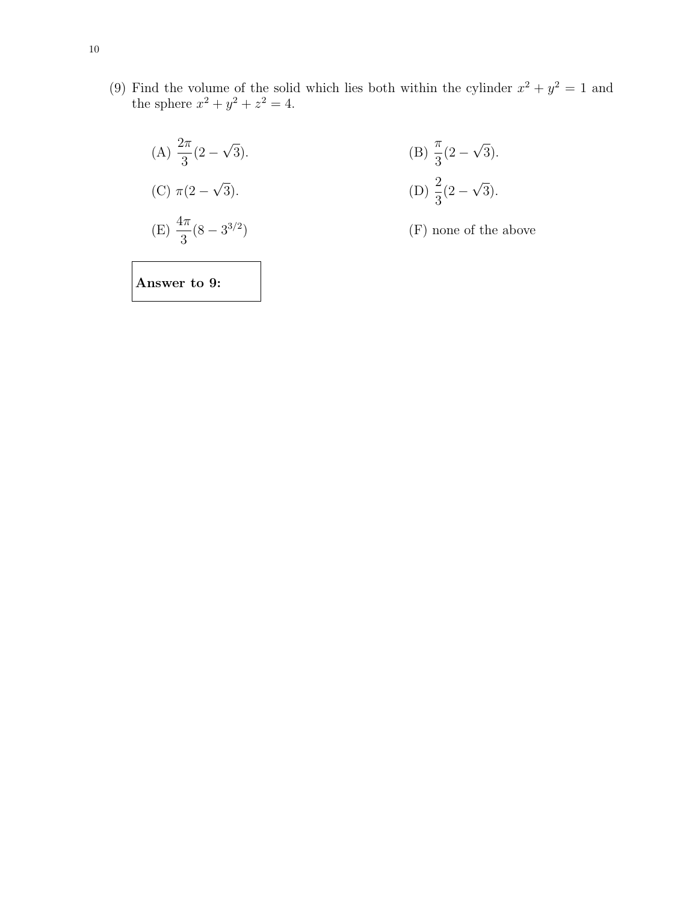(9) Find the volume of the solid which lies both within the cylinder  $x^2 + y^2 = 1$  and the sphere  $x^2 + y^2 + z^2 = 4$ .

(A) 
$$
\frac{2\pi}{3}(2-\sqrt{3})
$$
.  
\n(B)  $\frac{\pi}{3}(2-\sqrt{3})$ .  
\n(C)  $\pi(2-\sqrt{3})$ .  
\n(D)  $\frac{2}{3}(2-\sqrt{3})$ .  
\n(E)  $\frac{4\pi}{3}(8-3^{3/2})$   
\n(F) none of the above

Answer to 9: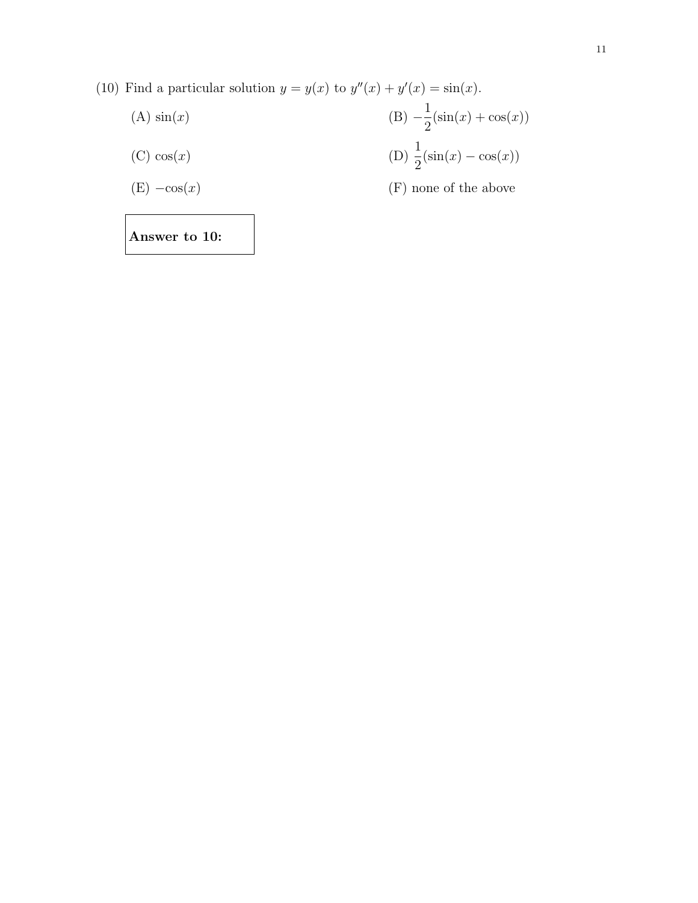(10) Find a particular solution  $y = y(x)$  to  $y''(x) + y'(x) = \sin(x)$ .

(A) 
$$
sin(x)
$$
  
\n(B)  $-\frac{1}{2} (sin(x) + cos(x))$   
\n(C)  $cos(x)$   
\n(D)  $\frac{1}{2} (sin(x) - cos(x))$   
\n(F) none of the above

Answer to 10: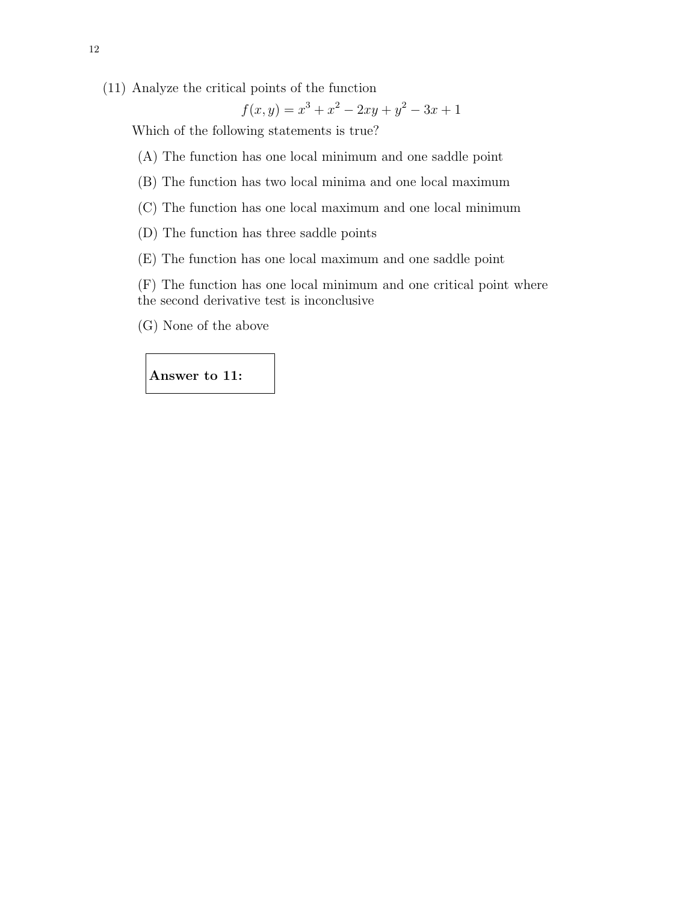(11) Analyze the critical points of the function

$$
f(x,y) = x^3 + x^2 - 2xy + y^2 - 3x + 1
$$

Which of the following statements is true?

- (A) The function has one local minimum and one saddle point
- (B) The function has two local minima and one local maximum
- (C) The function has one local maximum and one local minimum
- (D) The function has three saddle points
- (E) The function has one local maximum and one saddle point

(F) The function has one local minimum and one critical point where the second derivative test is inconclusive

(G) None of the above

Answer to 11: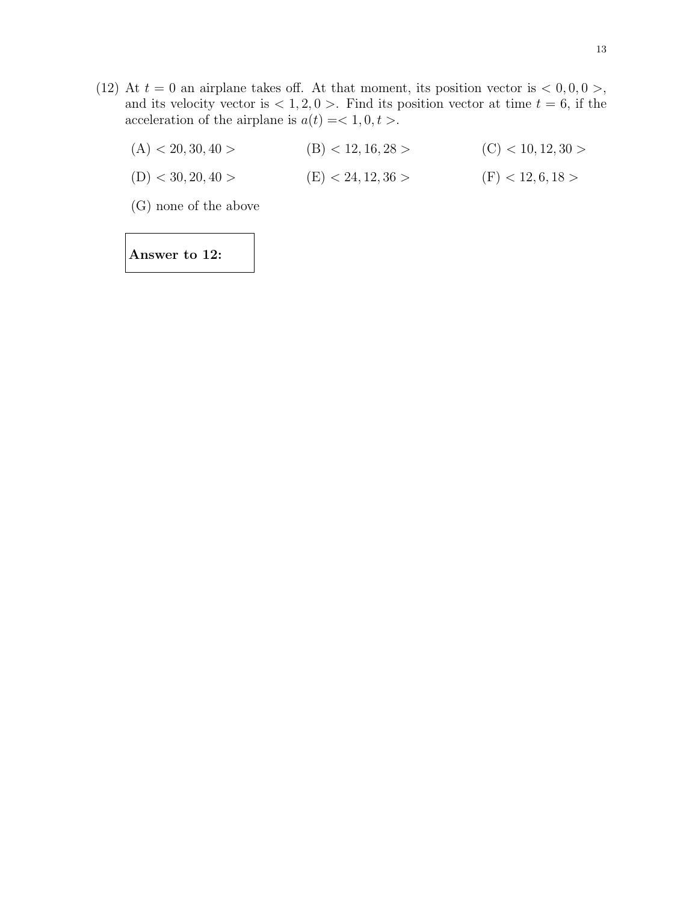- (12) At  $t = 0$  an airplane takes off. At that moment, its position vector is  $\langle 0, 0, 0 \rangle$ , and its velocity vector is  $\langle 1, 2, 0 \rangle$ . Find its position vector at time  $t = 6$ , if the acceleration of the airplane is  $a(t) = 1, 0, t >$ .
	- (A)  $<$  20, 30, 40 > (B)  $<$  12, 16, 28 > (C)  $<$  10, 12, 30 >
	- (D)  $<$  30, 20, 40 > (E)  $<$  24, 12, 36 > (F)  $<$  12, 6, 18 >

(G) none of the above

Answer to 12: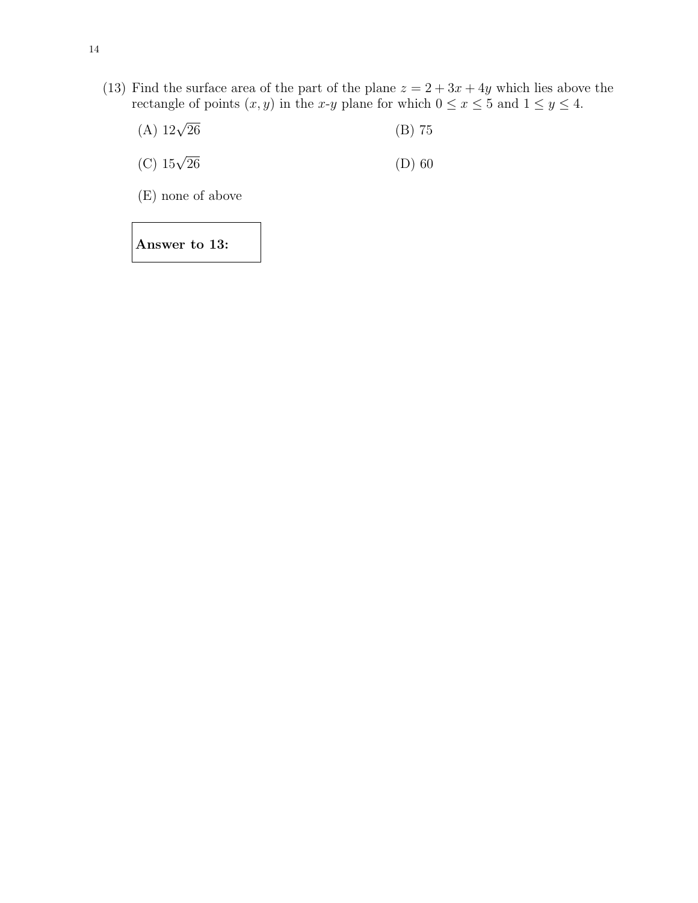- (13) Find the surface area of the part of the plane  $z = 2 + 3x + 4y$  which lies above the rectangle of points  $(x, y)$  in the x-y plane for which  $0 \le x \le 5$  and  $1 \le y \le 4$ .
	- (A)  $12\sqrt{26}$  (B) 75
	- (C)  $15\sqrt{26}$  (D) 60
	- (E) none of above

Answer to 13: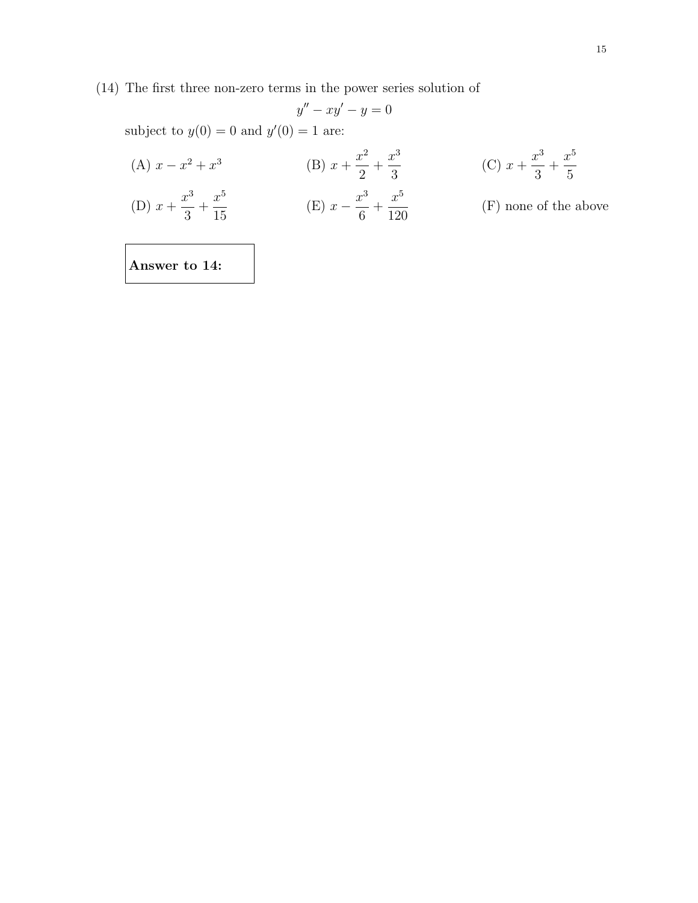(14) The first three non-zero terms in the power series solution of

$$
y'' - xy' - y = 0
$$

subject to  $y(0) = 0$  and  $y'(0) = 1$  are:

(A) 
$$
x - x^2 + x^3
$$
  
\n(B)  $x + \frac{x^2}{2} + \frac{x^3}{3}$   
\n(C)  $x + \frac{x^3}{3} + \frac{x^5}{5}$   
\n(D)  $x + \frac{x^3}{3} + \frac{x^5}{15}$   
\n(E)  $x - \frac{x^3}{6} + \frac{x^5}{120}$   
\n(F) none of the above

Answer to 14: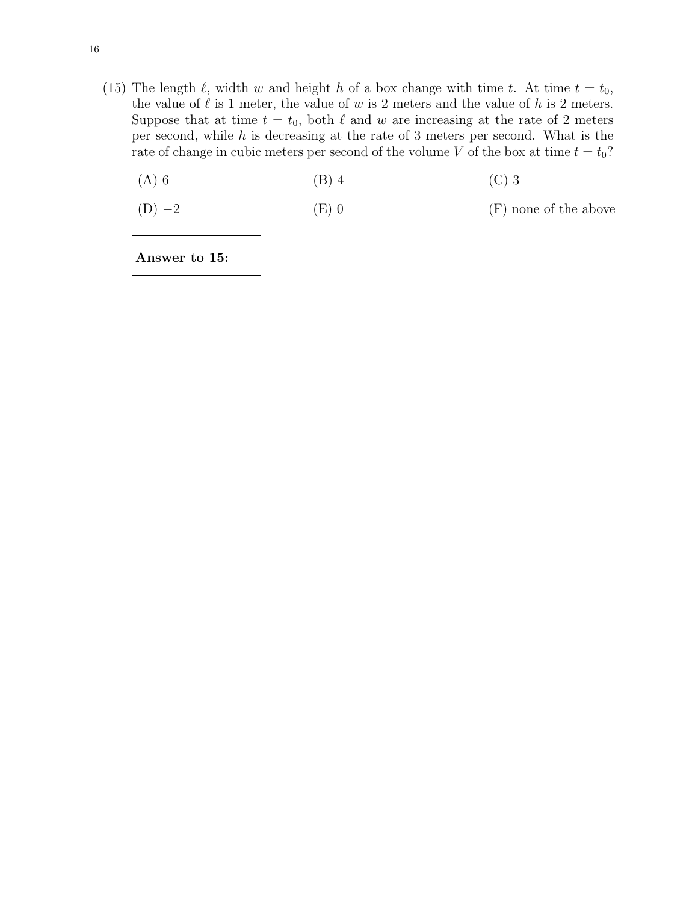- (15) The length  $\ell$ , width w and height h of a box change with time t. At time  $t = t_0$ , the value of  $\ell$  is 1 meter, the value of w is 2 meters and the value of h is 2 meters. Suppose that at time  $t = t_0$ , both  $\ell$  and w are increasing at the rate of 2 meters per second, while h is decreasing at the rate of 3 meters per second. What is the rate of change in cubic meters per second of the volume V of the box at time  $t = t_0$ ?
	- (A) 6 (B) 4 (C) 3

(D)  $-2$  (E) 0 (F) none of the above

Answer to 15: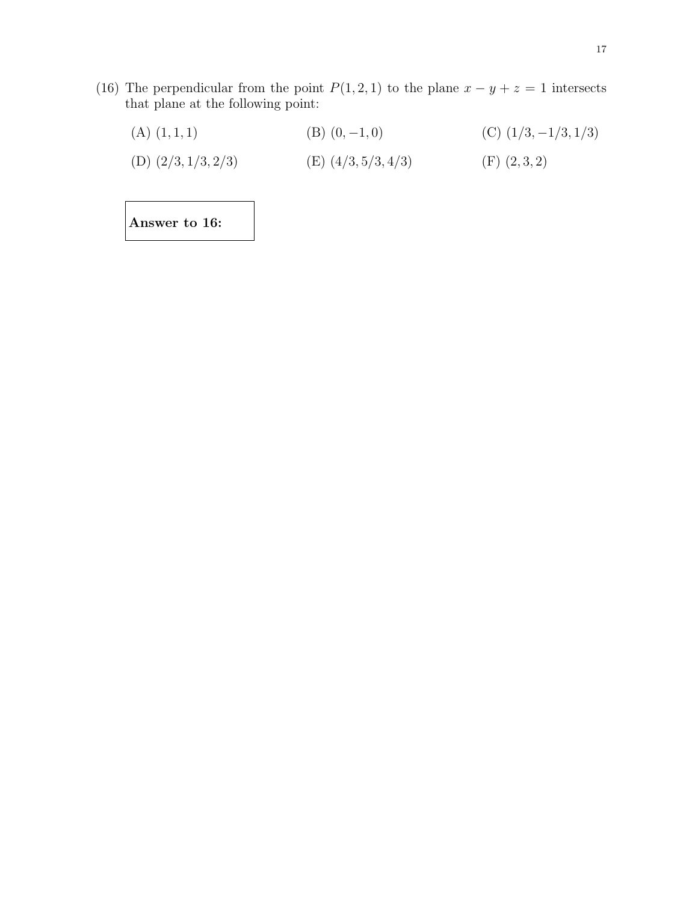- (16) The perpendicular from the point  $P(1, 2, 1)$  to the plane  $x y + z = 1$  intersects that plane at the following point:
	- (A)  $(1, 1, 1)$  (B)  $(0, -1, 0)$  (C)  $(1/3, -1/3, 1/3)$ (D)  $(2/3, 1/3, 2/3)$  (E)  $(4/3, 5/3, 4/3)$  (F)  $(2, 3, 2)$

Answer to 16: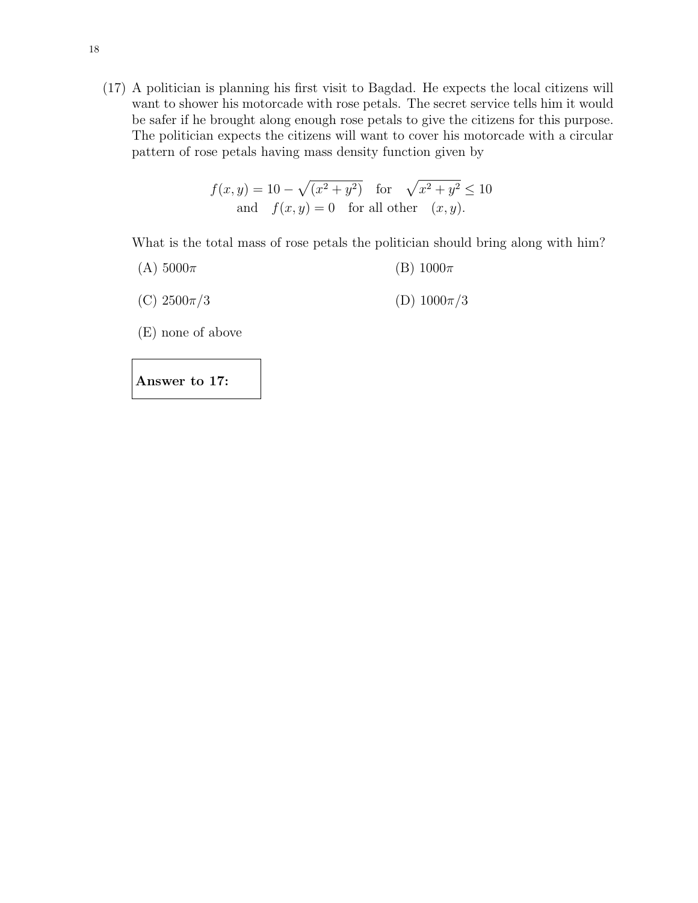(17) A politician is planning his first visit to Bagdad. He expects the local citizens will want to shower his motorcade with rose petals. The secret service tells him it would be safer if he brought along enough rose petals to give the citizens for this purpose. The politician expects the citizens will want to cover his motorcade with a circular pattern of rose petals having mass density function given by

$$
f(x,y) = 10 - \sqrt{(x^2 + y^2)} \quad \text{for} \quad \sqrt{x^2 + y^2} \le 10
$$
  
and 
$$
f(x,y) = 0 \quad \text{for all other} \quad (x,y).
$$

What is the total mass of rose petals the politician should bring along with him?

- (A)  $5000\pi$  (B)  $1000\pi$
- (C)  $2500\pi/3$  (D)  $1000\pi/3$
- (E) none of above

Answer to 17: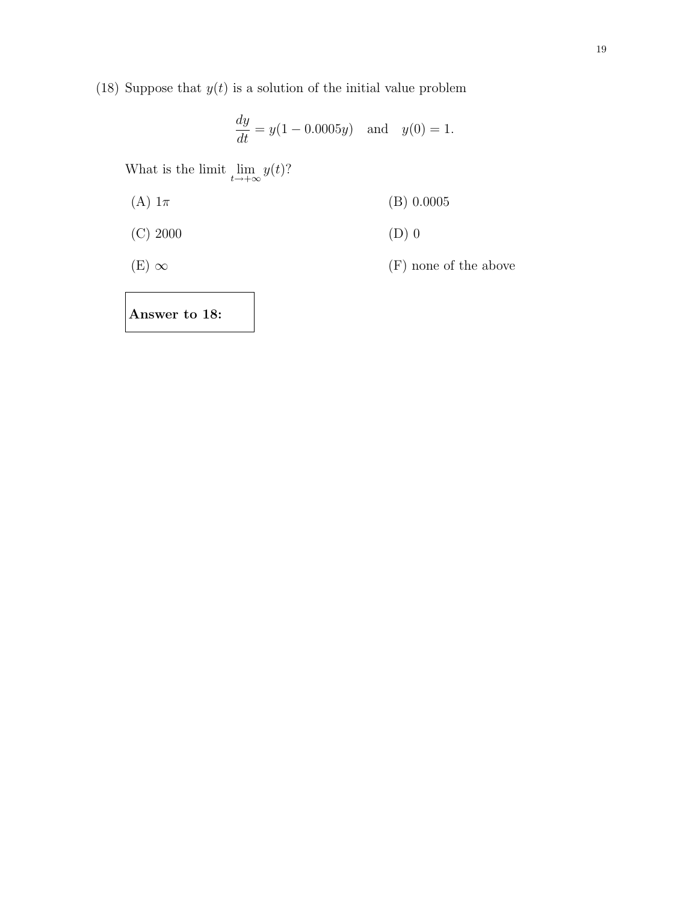(18) Suppose that  $y(t)$  is a solution of the initial value problem

$$
\frac{dy}{dt} = y(1 - 0.0005y) \text{ and } y(0) = 1.
$$

What is the limit  $\lim_{t \to +\infty} y(t)$ ?

- (A)  $1\pi$  (B) 0.0005
- (C) 2000 (D) 0
- 

(E)  $\infty$  (F) none of the above

Answer to 18: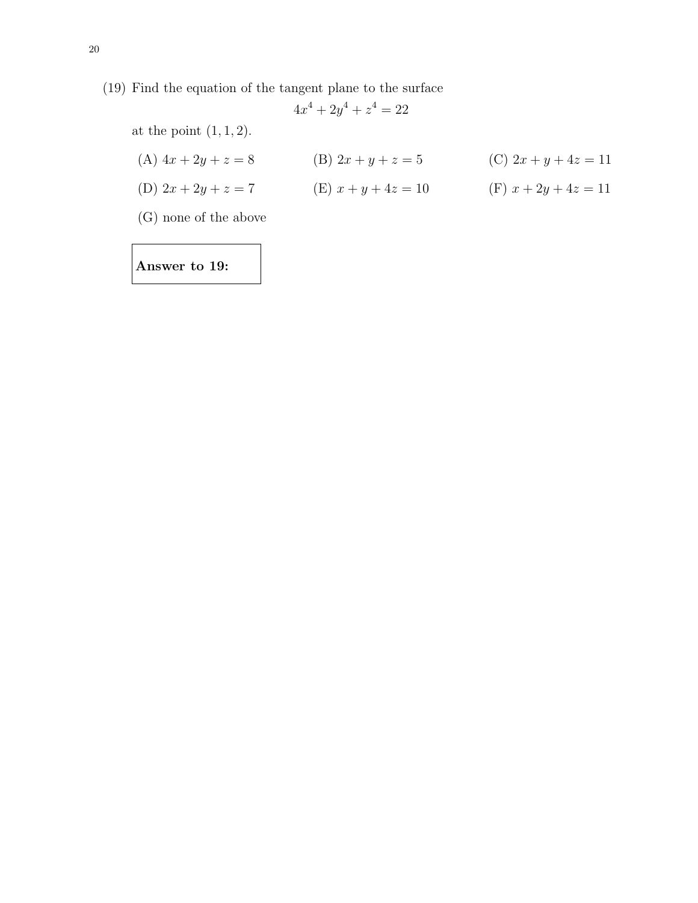(19) Find the equation of the tangent plane to the surface

$$
4x^4 + 2y^4 + z^4 = 22
$$

at the point  $(1, 1, 2)$ .

- (A)  $4x + 2y + z = 8$  (B)  $2x + y + z = 5$  (C)  $2x + y + 4z = 11$ (D)  $2x + 2y + z = 7$  (E)  $x + y + 4z = 10$  (F)  $x + 2y + 4z = 11$
- (G) none of the above

Answer to 19: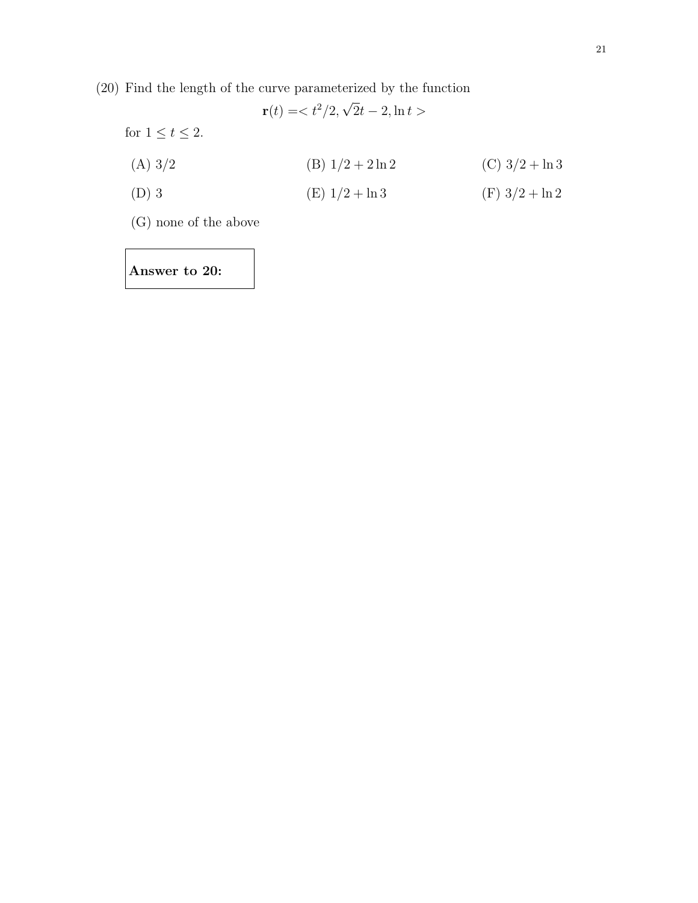(20) Find the length of the curve parameterized by the function

 $\mathbf{r}(t) =$ for  $1\leq t\leq 2.$ (A)  $3/2$  (B)  $1/2 + 2 \ln 2$  (C)  $3/2 + \ln 3$ (D) 3 (E)  $1/2 + \ln 3$  (F)  $3/2 + \ln 2$ 

(G) none of the above

Answer to 20: